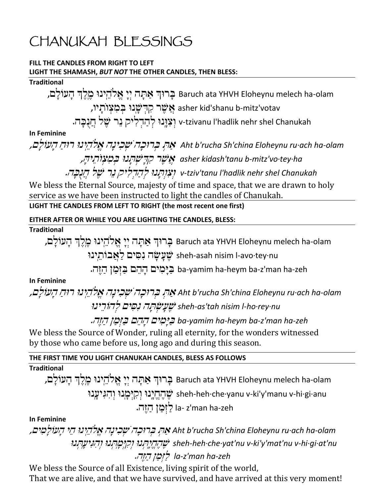# CHANUKAH BLESSINGS

#### **FILL THE CANDLES FROM RIGHT TO LEFT LIGHT THE SHAMASH,** *BUT NOT* **THE OTHER CANDLES, THEN BLESS:**

#### **Traditional**

ברוּךְ אַתָּה יִיָ אֱלֹהֵינוּ מֵלֵךְ הָעוֹלֵם, Baruch ata YHVH Eloheynu melech ha-olam

asher kid'shanu b-mitz'votav אֵשֶׁר קִדְשָּׂנוּ בִמְצְוֹתָיו,

v-tzivanu l'hadlik nehr shel Chanukah וִצְוֵּנוּ לְהַדְלִיק נֵר שֵׁל הֲנִבָּה.

**In Feminine**

Aht b'rucha Sh'china Eloheynu ru·ach ha-olam אֲהָ בְּרוּכָה יֹשָׂכְינַה אֱלֹהֵיְנוּ רוּחַ הָעוֹלַם,

*asher kidash'tanu b-mitz'vo·tey·ha*

v-tziv'tanu l'hadlik nehr shel Chanukah **بێ**بَر<del>بِرْدا جُرِيرِ جُمْرِ بِرِيْدِينِ</del>.

We bless the Eternal Source, majesty of time and space, that we are drawn to holy service as we have been instructed to light the candles of Chanukah.

**LIGHT THE CANDLES FROM LEFT TO RIGHT (the most recent one first)**

**EITHER AFTER OR WHILE YOU ARE LIGHTING THE CANDLES, BLESS:**

**Traditional**

Baruch ata YHVH Eloheynu melech ha-olam בָּרוּךְ אַתָּה יִיַ אֵלֹהֵינוּ מֵלֵךְ הַעוֹלַם,

שׂעֲשָׂה נִסִּים לַאֲבוֹתֵינוּ sheh-asah nisim l-avo·tey·nu

ba-yamim ha-heym ba-z'man ha-zeh בַּיָּמִים הַהֵם בַּזְמַן הַזֶּה.

#### **In Feminine**

# Aht b'rucha Sh'china Eloheynu ru·ach ha-olam אֲהָ בְּרוּכָה שֶׁכִינָה אֱלֹהֵיְנוּ רוּהַ הָעוֹלַם, sheh-as'tah nisim l-ho·rey·nu **نثير بن**جاج المسكن بن المستخدم المستخدم

*ba-yamim ha-heym ba-z'man ha-zeh*

We bless the Source of Wonder, ruling all eternity, for the wonders witnessed by those who came before us, long ago and during this season.

#### **THE FIRST TIME YOU LIGHT CHANUKAH CANDLES, BLESS AS FOLLOWS**

**Traditional**

בּרוּךְ אַתָּה יִיַ אֱלֹהֵינוּ מֵלֵךְ הָעוֹלָם, Baruch ata YHVH Eloheynu melech ha-olam יְאֲהָחֵיֵנוּ וְקִיִּמְנוּ וְהִגִּיעָנוּ sheh-heh·che·yanu v-ki'y'manu v-hi·gi·anu la- z'man ha-zeh לַיְּמַן הַיֶּה.

#### **In Feminine**

Aht b'rucha Sh'china Eloheynu ru·ach ha-olam אֲהָ בְּרוּבָה יֹשְׂבִינָה אֱלֹהֵיְנוּ הֵי הַעֹוֹלַמִים, *sheh-heh·che·yat'nu v-ki'y'mat'nu v-hi·gi·at'nu la-z'man ha-zeh*

We bless the Source of all Existence, living spirit of the world, That we are alive, and that we have survived, and have arrived at this very moment!